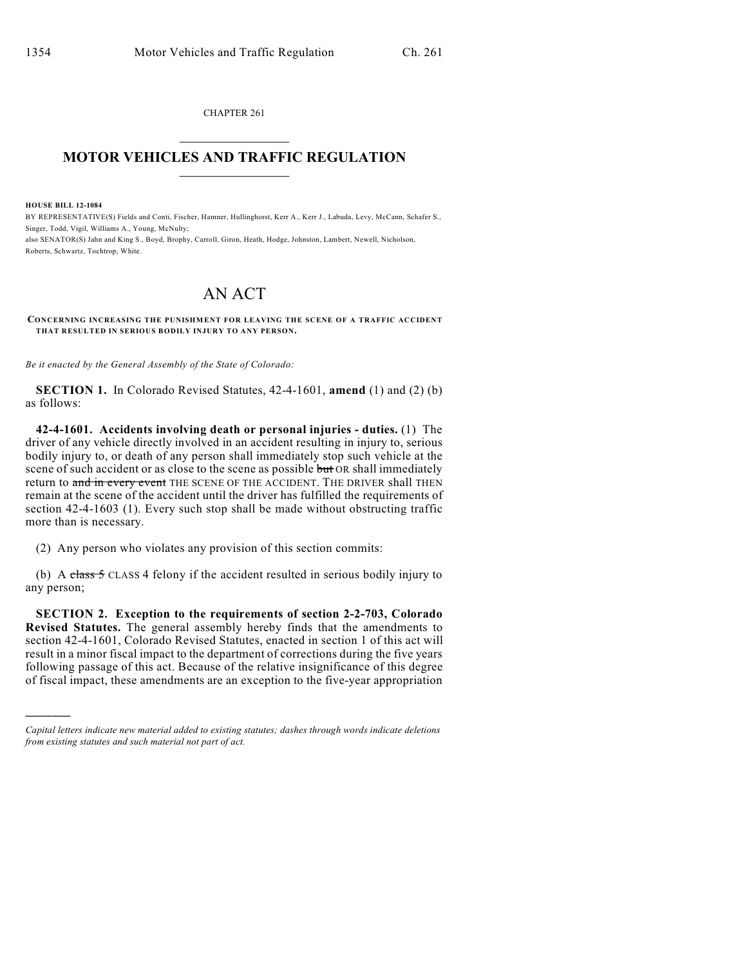CHAPTER 261  $\mathcal{L}_\text{max}$  . The set of the set of the set of the set of the set of the set of the set of the set of the set of the set of the set of the set of the set of the set of the set of the set of the set of the set of the set

## **MOTOR VEHICLES AND TRAFFIC REGULATION**  $\frac{1}{2}$  ,  $\frac{1}{2}$  ,  $\frac{1}{2}$  ,  $\frac{1}{2}$  ,  $\frac{1}{2}$  ,  $\frac{1}{2}$  ,  $\frac{1}{2}$

**HOUSE BILL 12-1084**

)))))

BY REPRESENTATIVE(S) Fields and Conti, Fischer, Hamner, Hullinghorst, Kerr A., Kerr J., Labuda, Levy, McCann, Schafer S., Singer, Todd, Vigil, Williams A., Young, McNulty; also SENATOR(S) Jahn and King S., Boyd, Brophy, Carroll, Giron, Heath, Hodge, Johnston, Lambert, Newell, Nicholson, Roberts, Schwartz, Tochtrop, White.

## AN ACT

**CONCERNING INCREASING THE PUNISHMENT FOR LEAVING THE SCENE OF A TRAFFIC ACCIDENT THAT RESULTED IN SERIOUS BODILY INJURY TO ANY PERSON.**

*Be it enacted by the General Assembly of the State of Colorado:*

**SECTION 1.** In Colorado Revised Statutes, 42-4-1601, **amend** (1) and (2) (b) as follows:

**42-4-1601. Accidents involving death or personal injuries - duties.** (1) The driver of any vehicle directly involved in an accident resulting in injury to, serious bodily injury to, or death of any person shall immediately stop such vehicle at the scene of such accident or as close to the scene as possible but OR shall immediately return to and in every event THE SCENE OF THE ACCIDENT. THE DRIVER shall THEN remain at the scene of the accident until the driver has fulfilled the requirements of section 42-4-1603 (1). Every such stop shall be made without obstructing traffic more than is necessary.

(2) Any person who violates any provision of this section commits:

(b) A class  $5$  CLASS 4 felony if the accident resulted in serious bodily injury to any person;

**SECTION 2. Exception to the requirements of section 2-2-703, Colorado Revised Statutes.** The general assembly hereby finds that the amendments to section 42-4-1601, Colorado Revised Statutes, enacted in section 1 of this act will result in a minor fiscal impact to the department of corrections during the five years following passage of this act. Because of the relative insignificance of this degree of fiscal impact, these amendments are an exception to the five-year appropriation

*Capital letters indicate new material added to existing statutes; dashes through words indicate deletions from existing statutes and such material not part of act.*